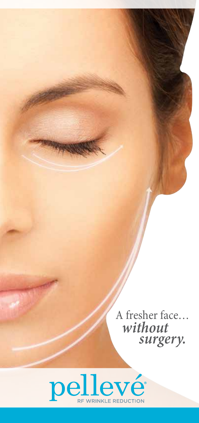A fresher face…  *without surgery.*

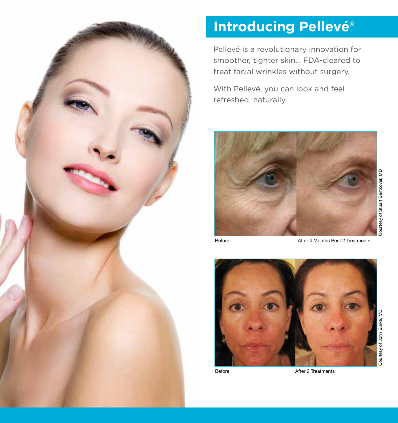

## **Introducing Pellevé®**

Pellevé is a revolutionary innovation for smoother, tighter skin... FDA-cleared to treat facial wrinkles without surgery.

With Pellevé, you can look and feel refreshed, naturally.



Before **After 4 Months Post 2 Treatments** 



Before **After 2 Treatments**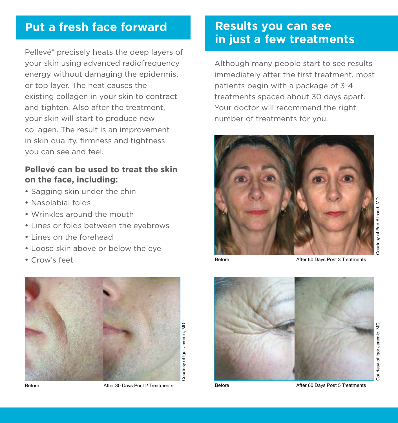#### **Put a fresh face forward Results you can see**

Pellevé® precisely heats the deep layers of your skin using advanced radiofrequency energy without damaging the epidermis, or top layer. The heat causes the existing collagen in your skin to contract and tighten. Also after the treatment, your skin will start to produce new collagen. The result is an improvement in skin quality, firmness and tightness you can see and feel.

#### **Pellevé can be used to treat the skin on the face, including:**

- Sagging skin under the chin
- Nasolabial folds
- Wrinkles around the mouth
- Lines or folds between the eyebrows
- Lines on the forehead
- Loose skin above or below the eye
- 



Before **After 30 Days Post 2 Treatments** Before Before After 60 Days Post 5 Treatments

# **in just a few treatments**

Although many people start to see results immediately after the first treatment, most patients begin with a package of 3-4 treatments spaced about 30 days apart. Your doctor will recommend the right number of treatments for you.



• Crow's feet **After 80 Days Post 3 Treatments** Before **After 60 Days Post 3 Treatments** 

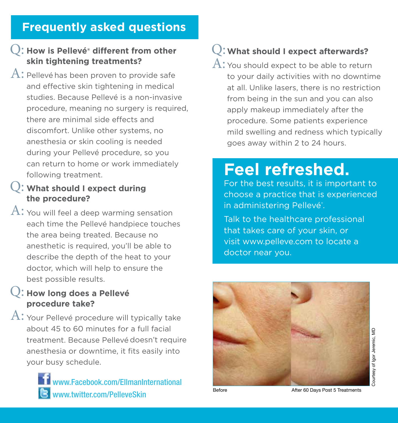#### **Frequently asked questions**

#### **How is Pellevé® different from other**  Q: **skin tightening treatments?**

 $\mathrm{A}\mathpunct{:}$  Pellevé has been proven to provide safe and effective skin tightening in medical studies. Because Pellevé is a non-invasive procedure, meaning no surgery is required, there are minimal side effects and discomfort. Unlike other systems, no anesthesia or skin cooling is needed during your Pellevé procedure, so you can return to home or work immediately following treatment.

#### **What should I expect during**  Q: **the procedure?**

 $\mathrm{A}\mathpunct{:}$  You will feel a deep warming sensation each time the Pellevé handpiece touches the area being treated. Because no anesthetic is required, you'll be able to describe the depth of the heat to your doctor, which will help to ensure the best possible results.

#### **How long does a Pellevé**  Q: **procedure take?**

 $\mathrm{A}\!\!$ : Your Pellevé procedure will typically take about 45 to 60 minutes for a full facial treatment. Because Pellevé doesn't require anesthesia or downtime, it fits easily into your busy schedule.



### **What should I expect afterwards?** Q:

 $\mathrm{A}\mathpunct{:}$  You should expect to be able to return to your daily activities with no downtime at all. Unlike lasers, there is no restriction from being in the sun and you can also apply makeup immediately after the procedure. Some patients experience mild swelling and redness which typically goes away within 2 to 24 hours.

## **Feel refreshed.**

For the best results, it is important to choose a practice that is experienced in administering Pellevé<sup>®</sup>.

Talk to the healthcare professional that takes care of your skin, or visit www.pelleve.com to locate a doctor near you.



Before **Before After 60 Days Post 5 Treatments**